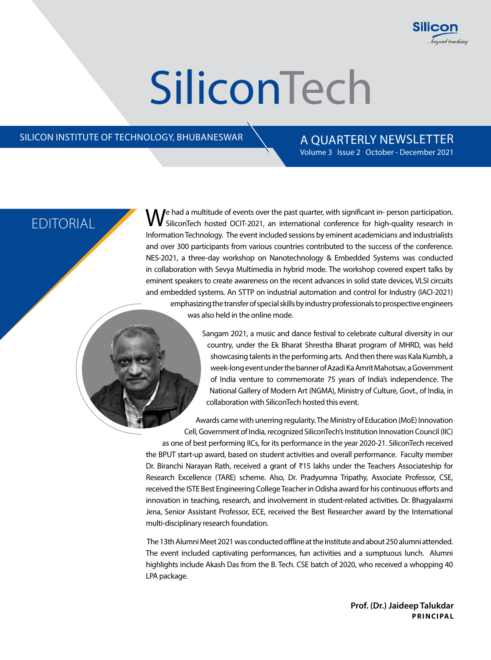

# **SiliconTech**

#### SILICON INSTITUTE OF TECHNOLOGY, BHUBANESWAR  $\setminus$  A QUARTERLY NEWSLETTER

## Volume 3 Issue 2 October - December 2021

EDITORIAL **We had a multitude of events over the past quarter, with significant in- person participation.**<br>
EDITORIAL SiliconTech hosted OCIT-2021, an international conference for high-quality research in Information Technology. The event included sessions by eminent academicians and industrialists and over 300 participants from various countries contributed to the success of the conference. NES-2021, a three-day workshop on Nanotechnology & Embedded Systems was conducted in collaboration with Sevya Multimedia in hybrid mode. The workshop covered expert talks by eminent speakers to create awareness on the recent advances in solid state devices, VLSI circuits and embedded systems. An STTP on industrial automation and control for Industry (IACI-2021) emphasizing the transfer of special skills by industry professionals to prospective engineers was also held in the online mode.

> Sangam 2021, a music and dance festival to celebrate cultural diversity in our country, under the Ek Bharat Shrestha Bharat program of MHRD, was held showcasing talents in the performing arts. And then there was Kala Kumbh, a week-long event under the banner of Azadi Ka Amrit Mahotsav, a Government of India venture to commemorate 75 years of India's independence. The National Gallery of Modern Art (NGMA), Ministry of Culture, Govt., of India, in collaboration with SiliconTech hosted this event.

Awards came with unerring regularity. The Ministry of Education (MoE) Innovation Cell, Government of India, recognized SiliconTech's Institution Innovation Council (IIC)

as one of best performing IICs, for its performance in the year 2020-21. SiliconTech received the BPUT start-up award, based on student activities and overall performance. Faculty member Dr. Biranchi Narayan Rath, received a grant of ₹15 lakhs under the Teachers Associateship for Research Excellence (TARE) scheme. Also, Dr. Pradyumna Tripathy, Associate Professor, CSE, received the ISTE Best Engineering College Teacher in Odisha award for his continuous efforts and innovation in teaching, research, and involvement in student-related activities. Dr. Bhagyalaxmi Jena, Senior Assistant Professor, ECE, received the Best Researcher award by the International multi-disciplinary research foundation.

 The 13th Alumni Meet 2021 was conducted offline at the Institute and about 250 alumni attended. The event included captivating performances, fun activities and a sumptuous lunch. Alumni highlights include Akash Das from the B. Tech. CSE batch of 2020, who received a whopping 40 LPA package.

> **Prof. (Dr.) Jaideep Talukdar PRINCIPAL**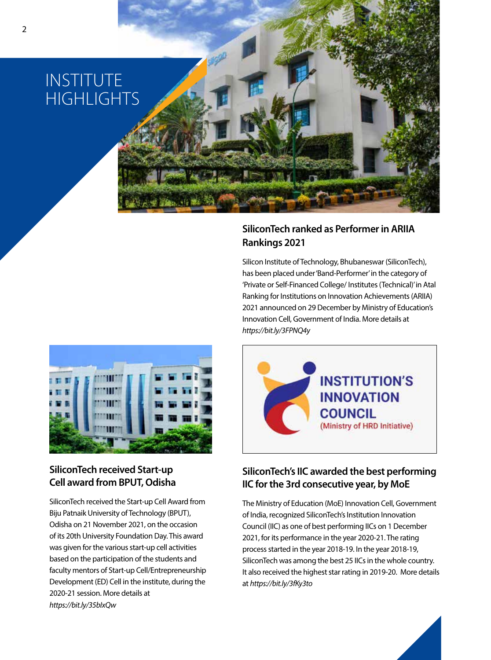### INSTITUTE **HIGHLIGHTS**

#### **SiliconTech ranked as Performer in ARIIA Rankings 2021**

Silicon Institute of Technology, Bhubaneswar (SiliconTech), has been placed under 'Band-Performer' in the category of 'Private or Self-Financed College/ Institutes (Technical)' in Atal Ranking for Institutions on Innovation Achievements (ARIIA) 2021 announced on 29 December by Ministry of Education's Innovation Cell, Government of India. More details at *https://bit.ly/3FPNQ4y*



#### **SiliconTech received Start-up Cell award from BPUT, Odisha**

SiliconTech received the Start-up Cell Award from Biju Patnaik University of Technology (BPUT), Odisha on 21 November 2021, on the occasion of its 20th University Foundation Day. This award was given for the various start-up cell activities based on the participation of the students and faculty mentors of Start-up Cell/Entrepreneurship Development (ED) Cell in the institute, during the 2020-21 session. More details at *https://bit.ly/35bIxQw*



### **SiliconTech's IIC awarded the best performing IIC for the 3rd consecutive year, by MoE**

The Ministry of Education (MoE) Innovation Cell, Government of India, recognized SiliconTech's Institution Innovation Council (IIC) as one of best performing IICs on 1 December 2021, for its performance in the year 2020-21. The rating process started in the year 2018-19. In the year 2018-19, SiliconTech was among the best 25 IICs in the whole country. It also received the highest star rating in 2019-20. More details at *https://bit.ly/3fKy3to*

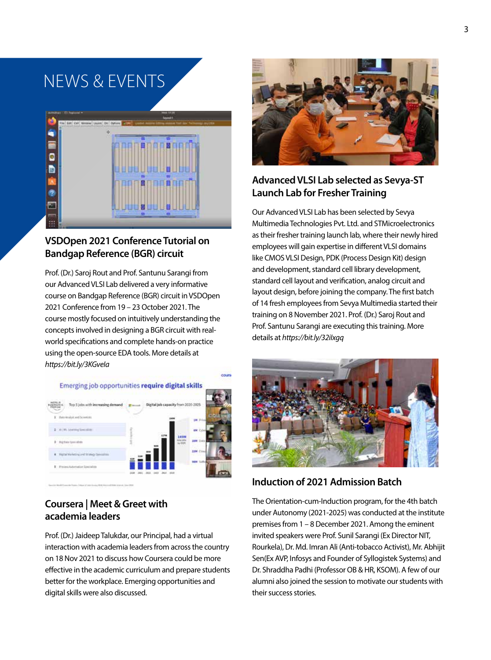### NEWS & EVENTS



#### **VSDOpen 2021 Conference Tutorial on Bandgap Reference (BGR) circuit**

Prof. (Dr.) Saroj Rout and Prof. Santunu Sarangi from our Advanced VLSI Lab delivered a very informative course on Bandgap Reference (BGR) circuit in VSDOpen 2021 Conference from 19 – 23 October 2021. The course mostly focused on intuitively understanding the concepts involved in designing a BGR circuit with realworld specifications and complete hands-on practice using the open-source EDA tools. More details at *https://bit.ly/3KGveIa*



#### **Coursera | Meet & Greet with academia leaders**

Prof. (Dr.) Jaideep Talukdar, our Principal, had a virtual interaction with academia leaders from across the country on 18 Nov 2021 to discuss how Coursera could be more effective in the academic curriculum and prepare students better for the workplace. Emerging opportunities and digital skills were also discussed.



#### **Advanced VLSI Lab selected as Sevya-ST Launch Lab for Fresher Training**

Our Advanced VLSI Lab has been selected by Sevya Multimedia Technologies Pvt. Ltd. and STMicroelectronics as their fresher training launch lab, where their newly hired employees will gain expertise in different VLSI domains like CMOS VLSI Design, PDK (Process Design Kit) design and development, standard cell library development, standard cell layout and verification, analog circuit and layout design, before joining the company. The first batch of 14 fresh employees from Sevya Multimedia started their training on 8 November 2021. Prof. (Dr.) Saroj Rout and Prof. Santunu Sarangi are executing this training. More details at *https://bit.ly/32iIxgq*



### **Induction of 2021 Admission Batch**

The Orientation-cum-Induction program, for the 4th batch under Autonomy (2021-2025) was conducted at the institute premises from 1 – 8 December 2021. Among the eminent invited speakers were Prof. Sunil Sarangi (Ex Director NIT, Rourkela), Dr. Md. Imran Ali (Anti-tobacco Activist), Mr. Abhijit Sen(Ex AVP, Infosys and Founder of Syllogistek Systems) and Dr. Shraddha Padhi (Professor OB & HR, KSOM). A few of our alumni also joined the session to motivate our students with their success stories.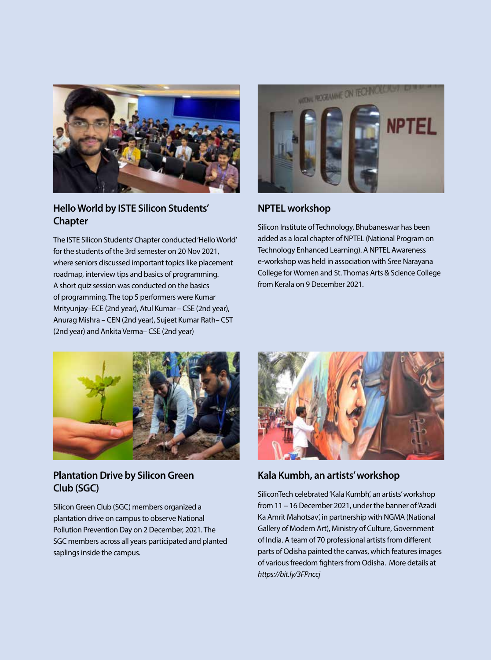

#### **Hello World by ISTE Silicon Students' Chapter**

The ISTE Silicon Students' Chapter conducted 'Hello World' for the students of the 3rd semester on 20 Nov 2021, where seniors discussed important topics like placement roadmap, interview tips and basics of programming. A short quiz session was conducted on the basics of programming. The top 5 performers were Kumar Mrityunjay–ECE (2nd year), Atul Kumar – CSE (2nd year), Anurag Mishra – CEN (2nd year), Sujeet Kumar Rath– CST (2nd year) and Ankita Verma– CSE (2nd year)



#### **NPTEL workshop**

Silicon Institute of Technology, Bhubaneswar has been added as a local chapter of NPTEL (National Program on Technology Enhanced Learning). A NPTEL Awareness e-workshop was held in association with Sree Narayana College for Women and St. Thomas Arts & Science College from Kerala on 9 December 2021.



#### **Plantation Drive by Silicon Green Club (SGC)**

Silicon Green Club (SGC) members organized a plantation drive on campus to observe National Pollution Prevention Day on 2 December, 2021. The SGC members across all years participated and planted saplings inside the campus.



**Kala Kumbh, an artists' workshop** 

SiliconTech celebrated 'Kala Kumbh', an artists' workshop from 11 – 16 December 2021, under the banner of 'Azadi Ka Amrit Mahotsav', in partnership with NGMA (National Gallery of Modern Art), Ministry of Culture, Government of India. A team of 70 professional artists from different parts of Odisha painted the canvas, which features images of various freedom fighters from Odisha. More details at *https://bit.ly/3FPnccj*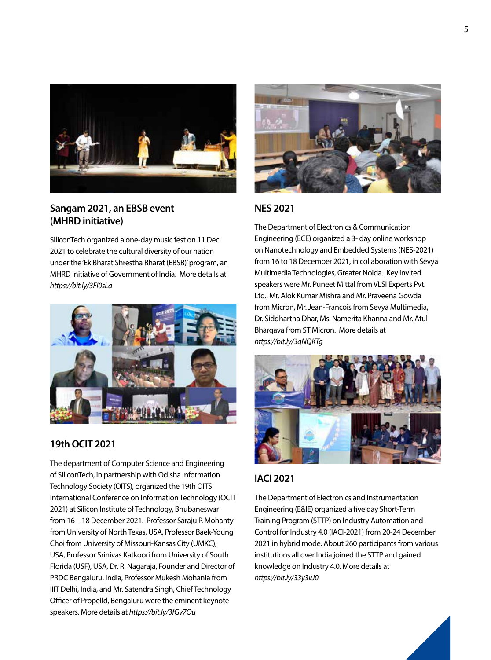

#### **Sangam 2021, an EBSB event (MHRD initiative)**

SiliconTech organized a one-day music fest on 11 Dec 2021 to celebrate the cultural diversity of our nation under the 'Ek Bharat Shrestha Bharat (EBSB)' program, an MHRD initiative of Government of India. More details at *https://bit.ly/3FI0sLa*



#### **19th OCIT 2021**

The department of Computer Science and Engineering of SiliconTech, in partnership with Odisha Information Technology Society (OITS), organized the 19th OITS International Conference on Information Technology (OCIT 2021) at Silicon Institute of Technology, Bhubaneswar from 16 – 18 December 2021. Professor Saraju P. Mohanty from University of North Texas, USA, Professor Baek-Young Choi from University of Missouri-Kansas City (UMKC), USA, Professor Srinivas Katkoori from University of South Florida (USF), USA, Dr. R. Nagaraja, Founder and Director of PRDC Bengaluru, India, Professor Mukesh Mohania from IIIT Delhi, India, and Mr. Satendra Singh, Chief Technology Officer of Propelld, Bengaluru were the eminent keynote speakers. More details at *https://bit.ly/3fGv7Ou*



#### **NES 2021**

The Department of Electronics & Communication Engineering (ECE) organized a 3- day online workshop on Nanotechnology and Embedded Systems (NES-2021) from 16 to 18 December 2021, in collaboration with Sevya Multimedia Technologies, Greater Noida. Key invited speakers were Mr. Puneet Mittal from VLSI Experts Pvt. Ltd., Mr. Alok Kumar Mishra and Mr. Praveena Gowda from Micron, Mr. Jean-Francois from Sevya Multimedia, Dr. Siddhartha Dhar, Ms. Namerita Khanna and Mr. Atul Bhargava from ST Micron. More details at *https://bit.ly/3qNQKTg*



### **IACI 2021**

The Department of Electronics and Instrumentation Engineering (E&IE) organized a five day Short-Term Training Program (STTP) on Industry Automation and Control for Industry 4.0 (IACI-2021) from 20-24 December 2021 in hybrid mode. About 260 participants from various institutions all over India joined the STTP and gained knowledge on Industry 4.0. More details at *https://bit.ly/33y3vJ0*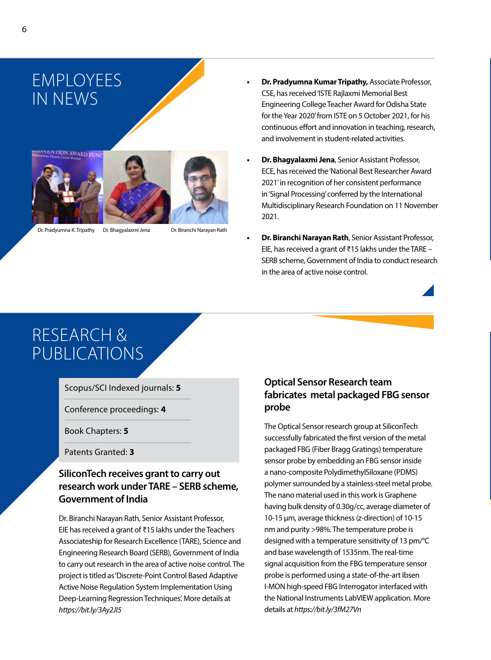



Dr. Pradyumna K. Tripathy Dr. Bhagyalaxmi Jena Dr. Biranchi Narayan Rath

- **• Dr. Pradyumna Kumar Tripathy,** Associate Professor, CSE, has received 'ISTE Rajlaxmi Memorial Best Engineering College Teacher Award for Odisha State for the Year 2020' from ISTE on 5 October 2021, for his continuous effort and innovation in teaching, research, and involvement in student-related activities.
- **• Dr. Bhagyalaxmi Jena**, Senior Assistant Professor, ECE, has received the 'National Best Researcher Award 2021' in recognition of her consistent performance in 'Signal Processing' conferred by the International Multidisciplinary Research Foundation on 11 November 2021.
- **• Dr. Biranchi Narayan Rath**, Senior Assistant Professor, EIE, has received a grant of ₹15 lakhs under the TARE – SERB scheme, Government of India to conduct research in the area of active noise control.

RESEARCH & PUBLICATIONS

Scopus/SCI Indexed journals: **5**

Conference proceedings: **4**

Book Chapters: **5**

Patents Granted: **3**

#### **SiliconTech receives grant to carry out research work under TARE – SERB scheme, Government of India**

Dr. Biranchi Narayan Rath, Senior Assistant Professor, EIE has received a grant of ₹15 lakhs under the Teachers Associateship for Research Excellence (TARE), Science and Engineering Research Board (SERB), Government of India to carry out research in the area of active noise control. The project is titled as 'Discrete-Point Control Based Adaptive Active Noise Regulation System Implementation Using Deep-Learning Regression Techniques'. More details at *https://bit.ly/3Ay2JI5* 

#### **Optical Sensor Research team fabricates metal packaged FBG sensor probe**

The Optical Sensor research group at SiliconTech successfully fabricated the first version of the metal packaged FBG (Fiber Bragg Gratings) temperature sensor probe by embedding an FBG sensor inside a nano-composite PolydimethylSiloxane (PDMS) polymer surrounded by a stainless-steel metal probe. The nano material used in this work is Graphene having bulk density of 0.30g/cc, average diameter of 10-15 μm, average thickness (z-direction) of 10-15 nm and purity >98%. The temperature probe is designed with a temperature sensitivity of 13 pm/°C and base wavelength of 1535nm. The real-time signal acquisition from the FBG temperature sensor probe is performed using a state-of-the-art Ibsen I-MON high-speed FBG Interrogator interfaced with the National Instruments LabVIEW application. More details at *https://bit.ly/3fM27Vn*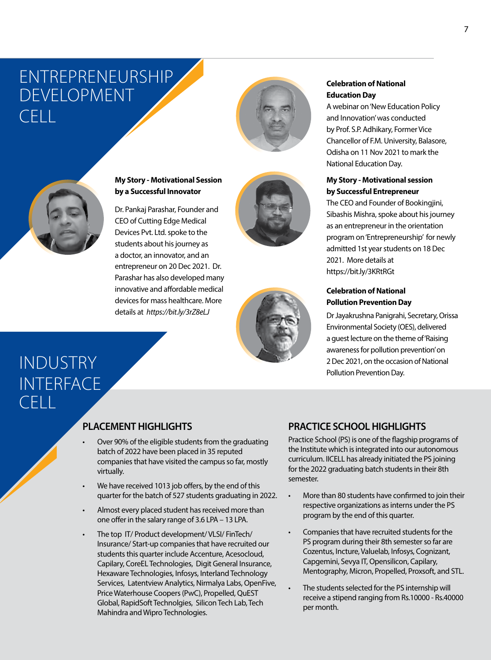### ENTREPRENEURSHIP DEVELOPMENT  $CFT$





#### **My Story - Motivational Session by a Successful Innovator**

Dr. Pankaj Parashar, Founder and CEO of Cutting Edge Medical Devices Pvt. Ltd. spoke to the students about his journey as a doctor, an innovator, and an entrepreneur on 20 Dec 2021. Dr. Parashar has also developed many innovative and affordable medical devices for mass healthcare. More details at *https://bit.ly/3rZ8eLJ*





#### **Celebration of National Education Day**

A webinar on 'New Education Policy and Innovation' was conducted by Prof. S.P. Adhikary, Former Vice Chancellor of F.M. University, Balasore, Odisha on 11 Nov 2021 to mark the National Education Day.

#### **My Story - Motivational session by Successful Entrepreneur**

The CEO and Founder of Bookingjini, Sibashis Mishra, spoke about his journey as an entrepreneur in the orientation program on 'Entrepreneurship' for newly admitted 1st year students on 18 Dec 2021. More details at https://bit.ly/3KRtRGt

#### **Celebration of National Pollution Prevention Day**

Dr Jayakrushna Panigrahi, Secretary, Orissa Environmental Society (OES), delivered a guest lecture on the theme of 'Raising awareness for pollution prevention' on 2 Dec 2021, on the occasion of National Pollution Prevention Day.

### INDUSTRY **INTERFACE** CELL

### **PLACEMENT HIGHLIGHTS**

- Over 90% of the eligible students from the graduating batch of 2022 have been placed in 35 reputed companies that have visited the campus so far, mostly virtually.
- We have received 1013 job offers, by the end of this quarter for the batch of 527 students graduating in 2022.
- Almost every placed student has received more than one offer in the salary range of 3.6 LPA – 13 LPA.
- The top IT/ Product development/ VLSI/ FinTech/ Insurance/ Start-up companies that have recruited our students this quarter include Accenture, Acesocloud, Capilary, CoreEL Technologies, Digit General Insurance, Hexaware Technologies, Infosys, Interland Technology Services, Latentview Analytics, Nirmalya Labs, OpenFive, Price Waterhouse Coopers (PwC), Propelled, QuEST Global, RapidSoft Technolgies, Silicon Tech Lab, Tech Mahindra and Wipro Technologies.

#### **PRACTICE SCHOOL HIGHLIGHTS**

Practice School (PS) is one of the flagship programs of the Institute which is integrated into our autonomous curriculum. IICELL has already initiated the PS joining for the 2022 graduating batch students in their 8th semester.

- More than 80 students have confirmed to join their respective organizations as interns under the PS program by the end of this quarter.
- Companies that have recruited students for the PS program during their 8th semester so far are Cozentus, Incture, Valuelab, Infosys, Cognizant, Capgemini, Sevya IT, Opensilicon, Capilary, Mentography, Micron, Propelled, Proxsoft, and STL.
- The students selected for the PS internship will receive a stipend ranging from Rs.10000 - Rs.40000 per month.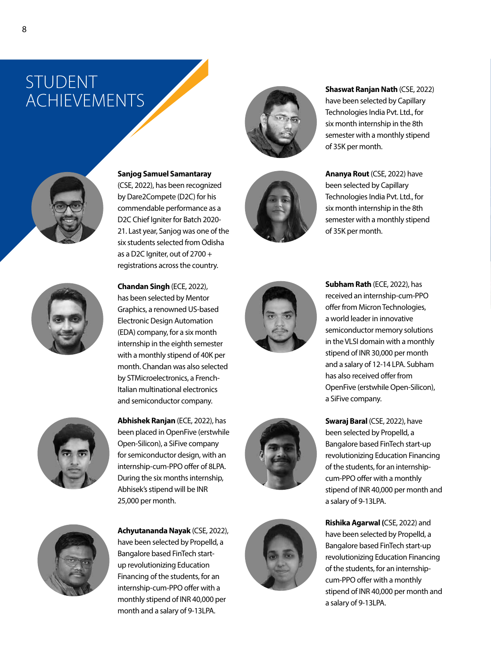### STUDENT **ACHIEVEMENTS**





(CSE, 2022), has been recognized by Dare2Compete (D2C) for his commendable performance as a D2C Chief Igniter for Batch 2020- 21. Last year, Sanjog was one of the six students selected from Odisha as a D2C Igniter, out of 2700 + registrations across the country.



**Chandan Singh** (ECE, 2022), has been selected by Mentor Graphics, a renowned US-based Electronic Design Automation (EDA) company, for a six month internship in the eighth semester with a monthly stipend of 40K per month. Chandan was also selected by STMicroelectronics, a French-Italian multinational electronics and semiconductor company.



**Abhishek Ranjan** (ECE, 2022), has been placed in OpenFive (erstwhile Open-Silicon), a SiFive company for semiconductor design, with an internship-cum-PPO offer of 8LPA. During the six months internship, Abhisek's stipend will be INR 25,000 per month.



**Achyutananda Nayak** (CSE, 2022), have been selected by Propelld, a Bangalore based FinTech startup revolutionizing Education Financing of the students, for an internship-cum-PPO offer with a monthly stipend of INR 40,000 per month and a salary of 9-13LPA.





**Shaswat Ranjan Nath** (CSE, 2022) have been selected by Capillary Technologies India Pvt. Ltd., for six month internship in the 8th semester with a monthly stipend of 35K per month.

**Ananya Rout** (CSE, 2022) have been selected by Capillary Technologies India Pvt. Ltd., for six month internship in the 8th semester with a monthly stipend of 35K per month.







**Subham Rath** (ECE, 2022), has received an internship-cum-PPO offer from Micron Technologies, a world leader in innovative semiconductor memory solutions in the VLSI domain with a monthly stipend of INR 30,000 per month and a salary of 12-14 LPA. Subham has also received offer from OpenFive (erstwhile Open-Silicon), a SiFive company.

**Swaraj Baral** (CSE, 2022), have been selected by Propelld, a Bangalore based FinTech start-up revolutionizing Education Financing of the students, for an internshipcum-PPO offer with a monthly stipend of INR 40,000 per month and a salary of 9-13LPA.

**Rishika Agarwal (**CSE, 2022) and have been selected by Propelld, a Bangalore based FinTech start-up revolutionizing Education Financing of the students, for an internshipcum-PPO offer with a monthly stipend of INR 40,000 per month and a salary of 9-13LPA.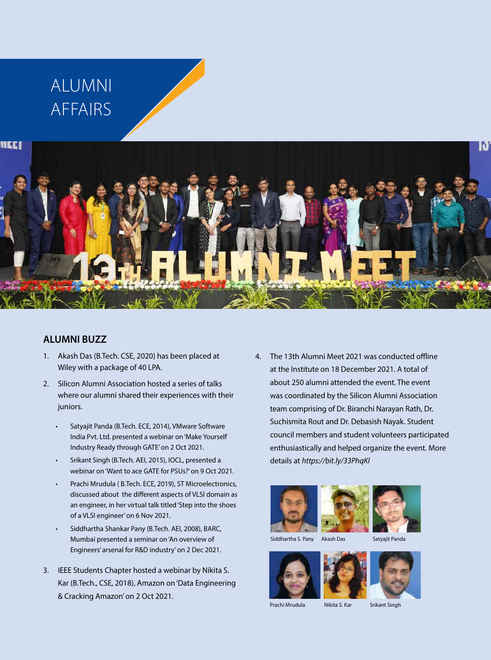# ALUMNI AFFAIRS



#### **ALUMNI BUZZ**

- 1. Akash Das (B.Tech. CSE, 2020) has been placed at Wiley with a package of 40 LPA.
- 2. Silicon Alumni Association hosted a series of talks where our alumni shared their experiences with their juniors.
	- Satyajit Panda (B.Tech. ECE, 2014), VMware Software India Pvt. Ltd. presented a webinar on 'Make Yourself Industry Ready through GATE' on 2 Oct 2021.
	- Srikant Singh (B.Tech. AEI, 2015), IOCL, presented a webinar on 'Want to ace GATE for PSUs?' on 9 Oct 2021.
	- Prachi Mrudula ( B.Tech. ECE, 2019), ST Microelectronics, discussed about the different aspects of VLSI domain as an engineer, in her virtual talk titled 'Step into the shoes of a VLSI engineer' on 6 Nov 2021.
	- Siddhartha Shankar Pany (B.Tech. AEI, 2008), BARC, Mumbai presented a seminar on 'An overview of Engineers' arsenal for R&D industry' on 2 Dec 2021.
- 3. IEEE Students Chapter hosted a webinar by Nikita S. Kar (B.Tech., CSE, 2018), Amazon on 'Data Engineering & Cracking Amazon' on 2 Oct 2021.

4. The 13th Alumni Meet 2021 was conducted offline at the Institute on 18 December 2021. A total of about 250 alumni attended the event. The event was coordinated by the Silicon Alumni Association team comprising of Dr. Biranchi Narayan Rath, Dr. Suchismita Rout and Dr. Debasish Nayak. Student council members and student volunteers participated enthusiastically and helped organize the event. More details at *https://bit.ly/33PhqKl*















Prachi Mrudula Nikita S. Kar Srikant Singh